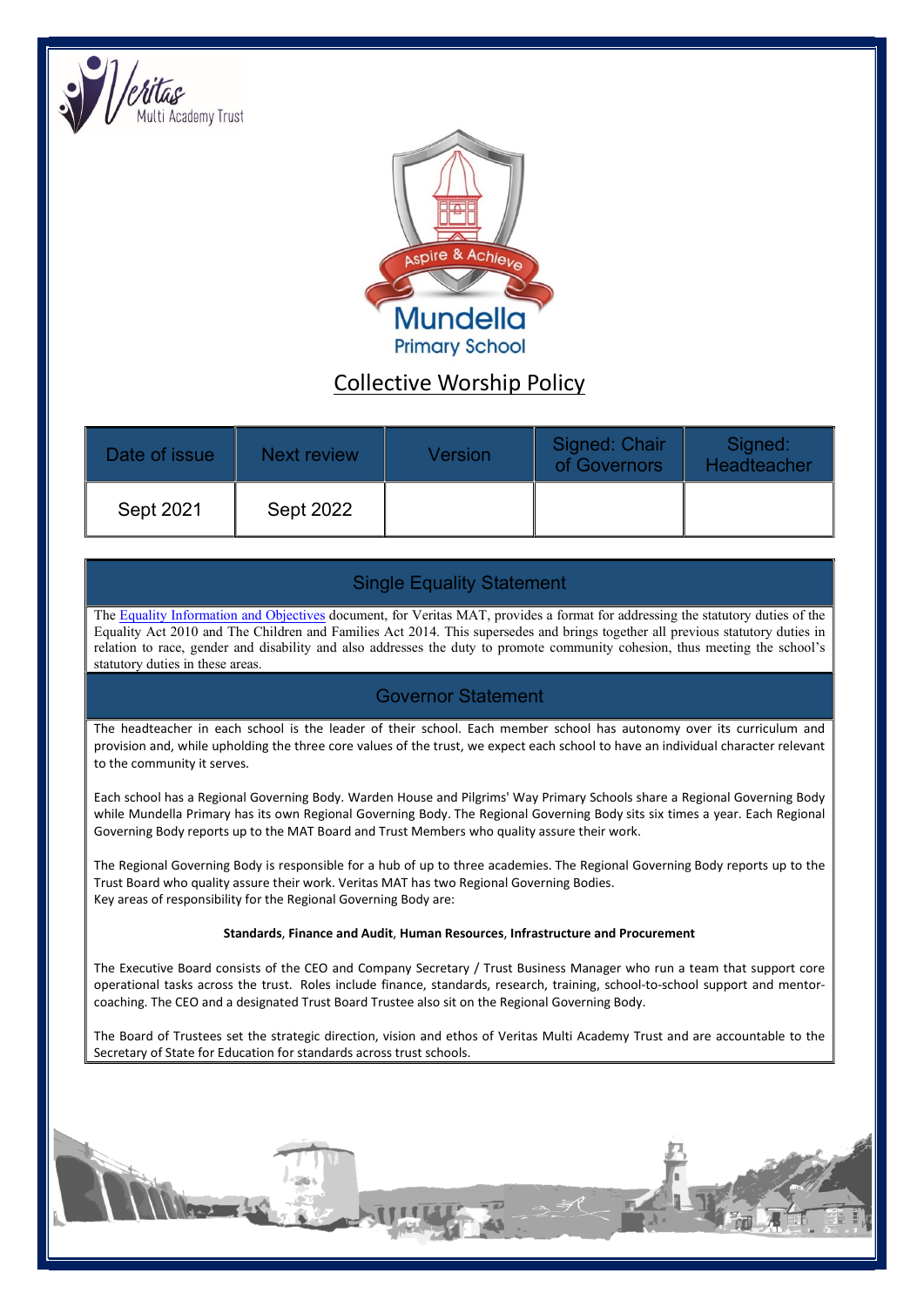

ì



# Collective Worship Policy

| Date of issue | Next review      | Version | Signed: Chair<br>of Governors | Signed:<br>Headteacher |
|---------------|------------------|---------|-------------------------------|------------------------|
| Sept 2021     | <b>Sept 2022</b> |         |                               |                        |

## Single Equality Statement

The Equality Information and Objectives document, for Veritas MAT, provides a format for addressing the statutory duties of the Equality Act 2010 and The Children and Families Act 2014. This supersedes and brings together all previous statutory duties in relation to race, gender and disability and also addresses the duty to promote community cohesion, thus meeting the school's statutory duties in these areas.

### Governor Statement

The headteacher in each school is the leader of their school. Each member school has autonomy over its curriculum and provision and, while upholding the three core values of the trust, we expect each school to have an individual character relevant to the community it serves.

Each school has a Regional Governing Body. Warden House and Pilgrims' Way Primary Schools share a Regional Governing Body while Mundella Primary has its own Regional Governing Body. The Regional Governing Body sits six times a year. Each Regional Governing Body reports up to the MAT Board and Trust Members who quality assure their work.

The Regional Governing Body is responsible for a hub of up to three academies. The Regional Governing Body reports up to the Trust Board who quality assure their work. Veritas MAT has two Regional Governing Bodies. Key areas of responsibility for the Regional Governing Body are:

#### Standards, Finance and Audit, Human Resources, Infrastructure and Procurement

The Executive Board consists of the CEO and Company Secretary / Trust Business Manager who run a team that support core operational tasks across the trust. Roles include finance, standards, research, training, school-to-school support and mentorcoaching. The CEO and a designated Trust Board Trustee also sit on the Regional Governing Body.

The Board of Trustees set the strategic direction, vision and ethos of Veritas Multi Academy Trust and are accountable to the Secretary of State for Education for standards across trust schools.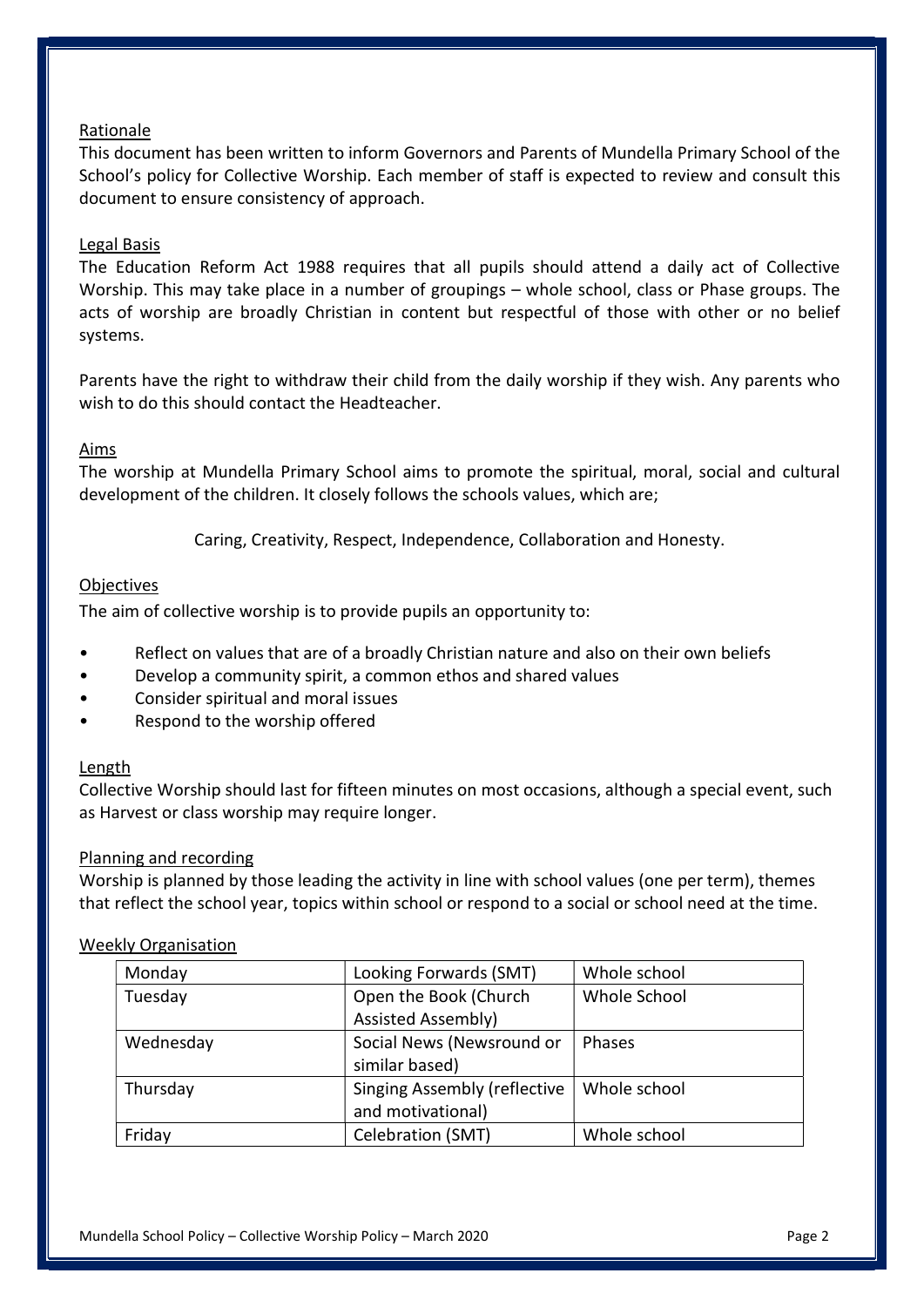#### Rationale

This document has been written to inform Governors and Parents of Mundella Primary School of the School's policy for Collective Worship. Each member of staff is expected to review and consult this document to ensure consistency of approach.

#### Legal Basis

The Education Reform Act 1988 requires that all pupils should attend a daily act of Collective Worship. This may take place in a number of groupings – whole school, class or Phase groups. The acts of worship are broadly Christian in content but respectful of those with other or no belief systems.

Parents have the right to withdraw their child from the daily worship if they wish. Any parents who wish to do this should contact the Headteacher.

#### Aims

The worship at Mundella Primary School aims to promote the spiritual, moral, social and cultural development of the children. It closely follows the schools values, which are;

Caring, Creativity, Respect, Independence, Collaboration and Honesty.

#### **Objectives**

The aim of collective worship is to provide pupils an opportunity to:

- Reflect on values that are of a broadly Christian nature and also on their own beliefs
- Develop a community spirit, a common ethos and shared values
- Consider spiritual and moral issues
- Respond to the worship offered

#### Length

Collective Worship should last for fifteen minutes on most occasions, although a special event, such as Harvest or class worship may require longer.

#### Planning and recording

Worship is planned by those leading the activity in line with school values (one per term), themes that reflect the school year, topics within school or respond to a social or school need at the time.

#### Weekly Organisation

| Monday    | Looking Forwards (SMT)              | Whole school |
|-----------|-------------------------------------|--------------|
| Tuesday   | Open the Book (Church               | Whole School |
|           | <b>Assisted Assembly)</b>           |              |
| Wednesday | Social News (Newsround or           | Phases       |
|           | similar based)                      |              |
| Thursday  | <b>Singing Assembly (reflective</b> | Whole school |
|           | and motivational)                   |              |
| Friday    | Celebration (SMT)                   | Whole school |